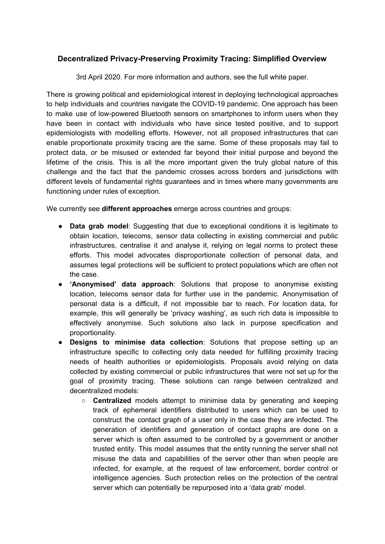## **Decentralized Privacy-Preserving Proximity Tracing: Simplified Overview**

3rd April 2020. For more information and authors, see the full white paper.

There is growing political and epidemiological interest in deploying technological approaches to help individuals and countries navigate the COVID-19 pandemic. One approach has been to make use of low-powered Bluetooth sensors on smartphones to inform users when they have been in contact with individuals who have since tested positive, and to support epidemiologists with modelling efforts. However, not all proposed infrastructures that can enable proportionate proximity tracing are the same. Some of these proposals may fail to protect data, or be misused or extended far beyond their initial purpose and beyond the lifetime of the crisis. This is all the more important given the truly global nature of this challenge and the fact that the pandemic crosses across borders and jurisdictions with different levels of fundamental rights guarantees and in times where many governments are functioning under rules of exception.

We currently see **different approaches** emerge across countries and groups:

- **Data grab model**: Suggesting that due to exceptional conditions it is legitimate to obtain location, telecoms, sensor data collecting in existing commercial and public infrastructures, centralise it and analyse it, relying on legal norms to protect these efforts. This model advocates disproportionate collection of personal data, and assumes legal protections will be sufficient to protect populations which are often not the case.
- **'Anonymised' data approach**: Solutions that propose to anonymise existing location, telecoms sensor data for further use in the pandemic. Anonymisation of personal data is a difficult, if not impossible bar to reach. For location data, for example, this will generally be 'privacy washing', as such rich data is impossible to effectively anonymise. Such solutions also lack in purpose specification and proportionality.
- **Designs to minimise data collection**: Solutions that propose setting up an infrastructure specific to collecting only data needed for fulfilling proximity tracing needs of health authorities or epidemiologists. Proposals avoid relying on data collected by existing commercial or public infrastructures that were not set up for the goal of proximity tracing. These solutions can range between centralized and decentralized models:
	- **Centralized** models attempt to minimise data by generating and keeping track of ephemeral identifiers distributed to users which can be used to construct the contact graph of a user only in the case they are infected. The generation of identifiers and generation of contact graphs are done on a server which is often assumed to be controlled by a government or another trusted entity. This model assumes that the entity running the server shall not misuse the data and capabilities of the server other than when people are infected, for example, at the request of law enforcement, border control or intelligence agencies. Such protection relies on the protection of the central server which can potentially be repurposed into a 'data grab' model.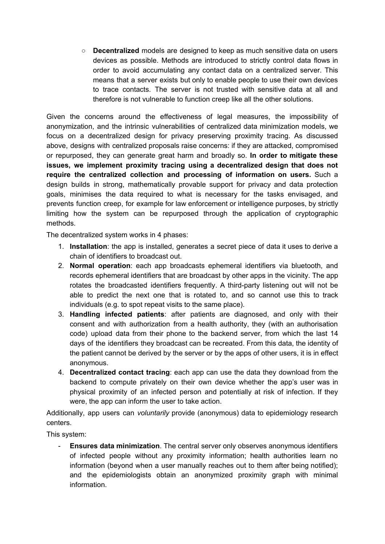○ **Decentralized** models are designed to keep as much sensitive data on users devices as possible. Methods are introduced to strictly control data flows in order to avoid accumulating any contact data on a centralized server. This means that a server exists but only to enable people to use their own devices to trace contacts. The server is not trusted with sensitive data at all and therefore is not vulnerable to function creep like all the other solutions.

Given the concerns around the effectiveness of legal measures, the impossibility of anonymization, and the intrinsic vulnerabilities of centralized data minimization models, we focus on a decentralized design for privacy preserving proximity tracing. As discussed above, designs with centralized proposals raise concerns: if they are attacked, compromised or repurposed, they can generate great harm and broadly so. **In order to mitigate these issues, we implement proximity tracing using a decentralized design that does not require the centralized collection and processing of information on users.** Such a design builds in strong, mathematically provable support for privacy and data protection goals, minimises the data required to what is necessary for the tasks envisaged, and prevents function creep, for example for law enforcement or intelligence purposes, by strictly limiting how the system can be repurposed through the application of cryptographic methods.

The decentralized system works in 4 phases:

- 1. **Installation**: the app is installed, generates a secret piece of data it uses to derive a chain of identifiers to broadcast out.
- 2. **Normal operation**: each app broadcasts ephemeral identifiers via bluetooth, and records ephemeral identifiers that are broadcast by other apps in the vicinity. The app rotates the broadcasted identifiers frequently. A third-party listening out will not be able to predict the next one that is rotated to, and so cannot use this to track individuals (e.g. to spot repeat visits to the same place).
- 3. **Handling infected patients**: after patients are diagnosed, and only with their consent and with authorization from a health authority, they (with an authorisation code) upload data from their phone to the backend server, from which the last 14 days of the identifiers they broadcast can be recreated. From this data, the identity of the patient cannot be derived by the server or by the apps of other users, it is in effect anonymous.
- 4. **Decentralized contact tracing**: each app can use the data they download from the backend to compute privately on their own device whether the app's user was in physical proximity of an infected person and potentially at risk of infection. If they were, the app can inform the user to take action.

Additionally, app users can *voluntarily* provide (anonymous) data to epidemiology research centers.

This system:

- **Ensures data minimization**. The central server only observes anonymous identifiers of infected people without any proximity information; health authorities learn no information (beyond when a user manually reaches out to them after being notified); and the epidemiologists obtain an anonymized proximity graph with minimal information.